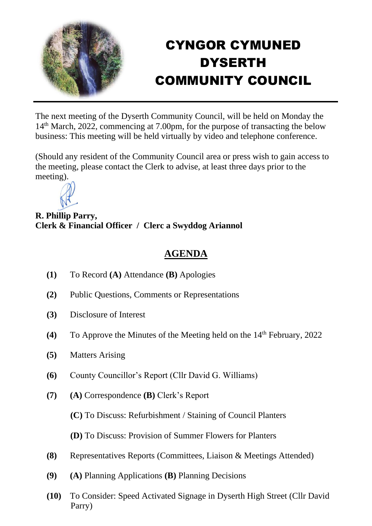

## CYNGOR CYMUNED DYSERTH COMMUNITY COUNCIL

The next meeting of the Dyserth Community Council, will be held on Monday the 14th March, 2022, commencing at 7.00pm, for the purpose of transacting the below business: This meeting will be held virtually by video and telephone conference.

(Should any resident of the Community Council area or press wish to gain access to the meeting, please contact the Clerk to advise, at least three days prior to the meeting).



**R. Phillip Parry, Clerk & Financial Officer / Clerc a Swyddog Ariannol**

## **AGENDA**

- **(1)** To Record **(A)** Attendance **(B)** Apologies
- **(2)** Public Questions, Comments or Representations
- **(3)** Disclosure of Interest
- **(4)** To Approve the Minutes of the Meeting held on the 14th February, 2022
- **(5)** Matters Arising
- **(6)** County Councillor's Report (Cllr David G. Williams)
- **(7) (A)** Correspondence **(B)** Clerk's Report

**(C)** To Discuss: Refurbishment / Staining of Council Planters

**(D)** To Discuss: Provision of Summer Flowers for Planters

- **(8)** Representatives Reports (Committees, Liaison & Meetings Attended)
- **(9) (A)** Planning Applications **(B)** Planning Decisions
- **(10)** To Consider: Speed Activated Signage in Dyserth High Street (Cllr David Parry)